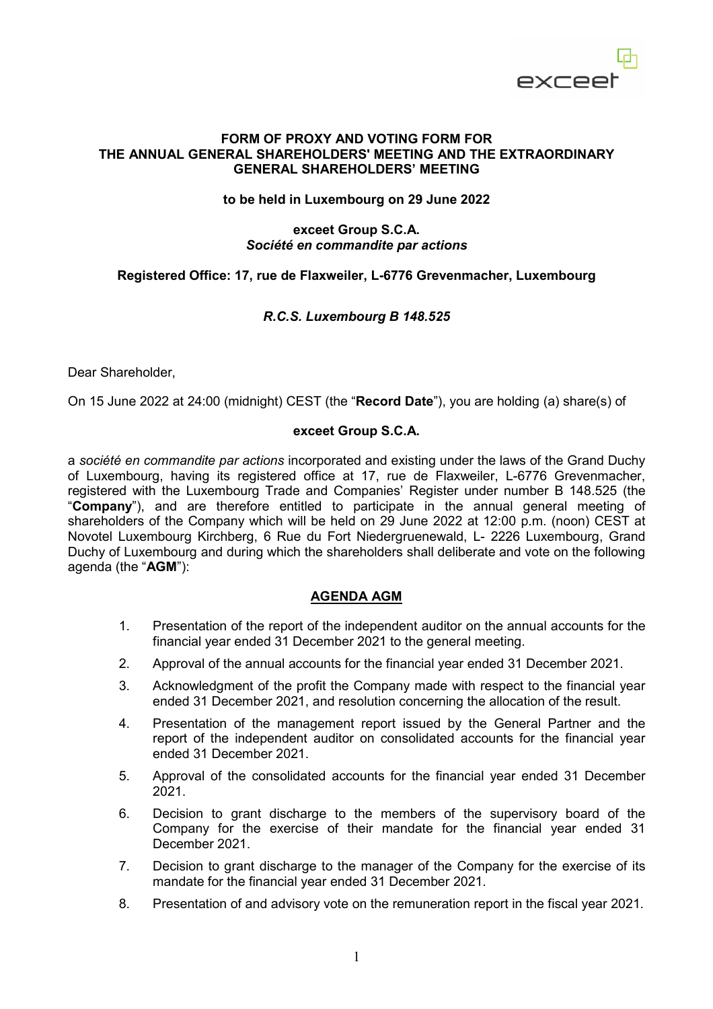

#### **FORM OF PROXY AND VOTING FORM FOR THE ANNUAL GENERAL SHAREHOLDERS' MEETING AND THE EXTRAORDINARY GENERAL SHAREHOLDERS' MEETING**

#### **to be held in Luxembourg on 29 June 2022**

#### **exceet Group S.C.A.**  *Société en commandite par actions*

# **Registered Office: 17, rue de Flaxweiler, L-6776 Grevenmacher, Luxembourg**

# *R.C.S. Luxembourg B 148.525*

Dear Shareholder,

On 15 June 2022 at 24:00 (midnight) CEST (the "**Record Date**"), you are holding (a) share(s) of

#### **exceet Group S.C.A.**

a *société en commandite par actions* incorporated and existing under the laws of the Grand Duchy of Luxembourg, having its registered office at 17, rue de Flaxweiler, L-6776 Grevenmacher, registered with the Luxembourg Trade and Companies' Register under number B 148.525 (the "**Company**"), and are therefore entitled to participate in the annual general meeting of shareholders of the Company which will be held on 29 June 2022 at 12:00 p.m. (noon) CEST at Novotel Luxembourg Kirchberg, 6 Rue du Fort Niedergruenewald, L- 2226 Luxembourg, Grand Duchy of Luxembourg and during which the shareholders shall deliberate and vote on the following agenda (the "**AGM**"):

# **AGENDA AGM**

- 1. Presentation of the report of the independent auditor on the annual accounts for the financial year ended 31 December 2021 to the general meeting.
- 2. Approval of the annual accounts for the financial year ended 31 December 2021.
- 3. Acknowledgment of the profit the Company made with respect to the financial year ended 31 December 2021, and resolution concerning the allocation of the result.
- 4. Presentation of the management report issued by the General Partner and the report of the independent auditor on consolidated accounts for the financial year ended 31 December 2021.
- 5. Approval of the consolidated accounts for the financial year ended 31 December 2021.
- 6. Decision to grant discharge to the members of the supervisory board of the Company for the exercise of their mandate for the financial year ended 31 December 2021.
- 7. Decision to grant discharge to the manager of the Company for the exercise of its mandate for the financial year ended 31 December 2021.
- 8. Presentation of and advisory vote on the remuneration report in the fiscal year 2021.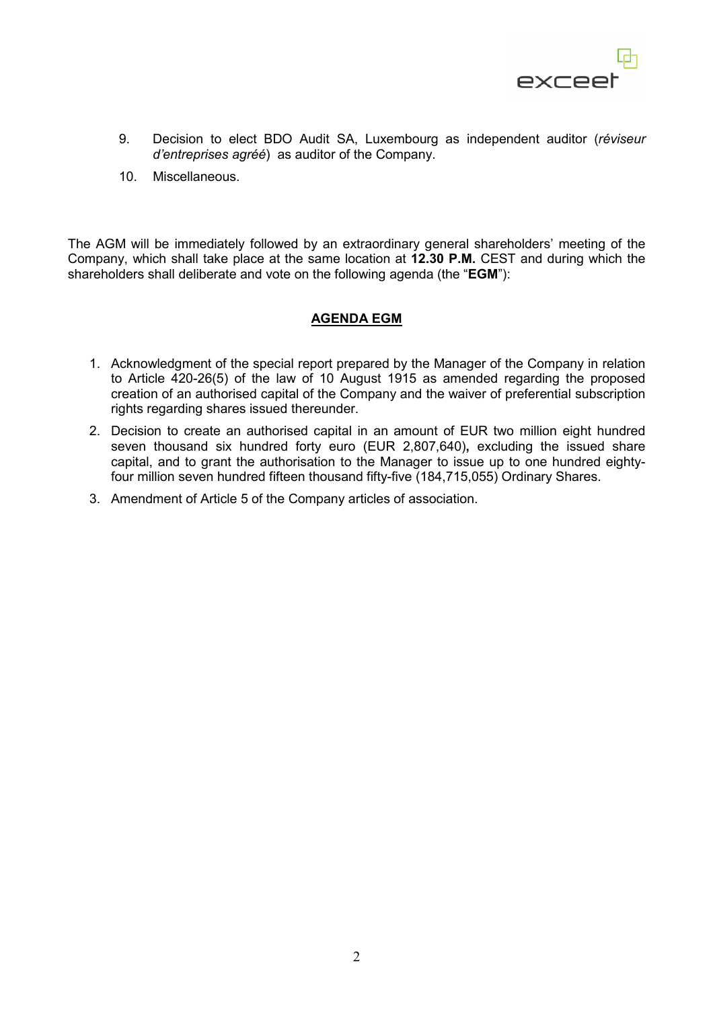

- 9. Decision to elect BDO Audit SA, Luxembourg as independent auditor (*réviseur d'entreprises agréé*) as auditor of the Company.
- 10. Miscellaneous.

The AGM will be immediately followed by an extraordinary general shareholders' meeting of the Company, which shall take place at the same location at **12.30 P.M.** CEST and during which the shareholders shall deliberate and vote on the following agenda (the "**EGM**"):

# **AGENDA EGM**

- 1. Acknowledgment of the special report prepared by the Manager of the Company in relation to Article 420-26(5) of the law of 10 August 1915 as amended regarding the proposed creation of an authorised capital of the Company and the waiver of preferential subscription rights regarding shares issued thereunder.
- 2. Decision to create an authorised capital in an amount of EUR two million eight hundred seven thousand six hundred forty euro (EUR 2,807,640)**,** excluding the issued share capital, and to grant the authorisation to the Manager to issue up to one hundred eightyfour million seven hundred fifteen thousand fifty-five (184,715,055) Ordinary Shares.
- 3. Amendment of Article 5 of the Company articles of association.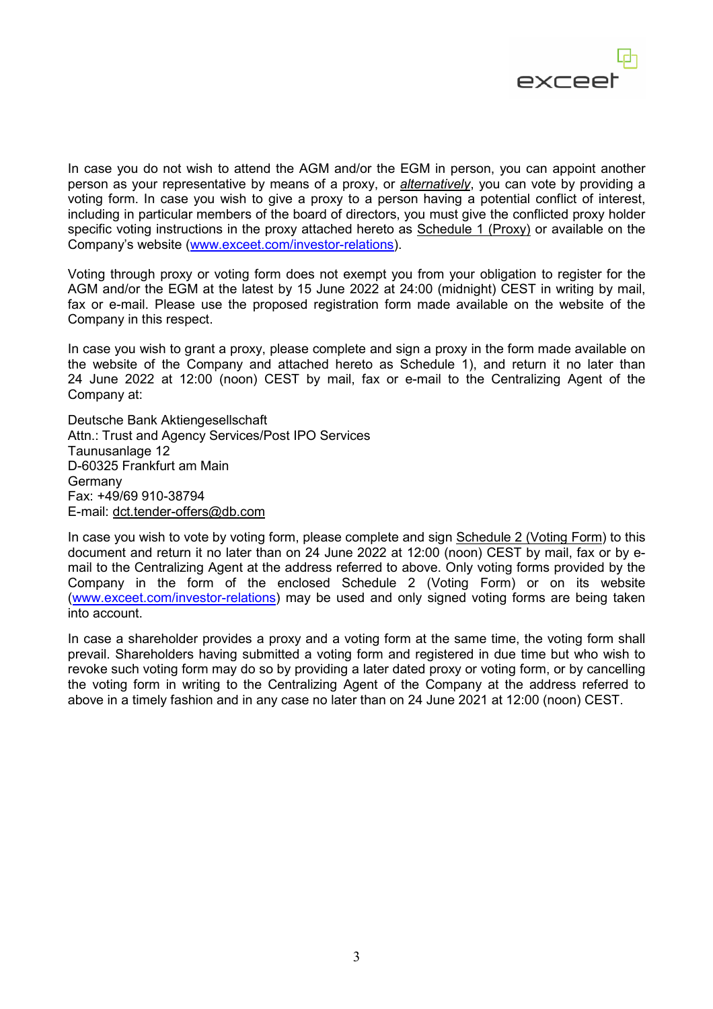

In case you do not wish to attend the AGM and/or the EGM in person, you can appoint another person as your representative by means of a proxy, or *alternatively*, you can vote by providing a voting form. In case you wish to give a proxy to a person having a potential conflict of interest, including in particular members of the board of directors, you must give the conflicted proxy holder specific voting instructions in the proxy attached hereto as Schedule 1 (Proxy) or available on the Company's website (www.exceet.com/investor-relations).

Voting through proxy or voting form does not exempt you from your obligation to register for the AGM and/or the EGM at the latest by 15 June 2022 at 24:00 (midnight) CEST in writing by mail, fax or e-mail. Please use the proposed registration form made available on the website of the Company in this respect.

In case you wish to grant a proxy, please complete and sign a proxy in the form made available on the website of the Company and attached hereto as Schedule 1), and return it no later than 24 June 2022 at 12:00 (noon) CEST by mail, fax or e-mail to the Centralizing Agent of the Company at:

Deutsche Bank Aktiengesellschaft Attn.: Trust and Agency Services/Post IPO Services Taunusanlage 12 D-60325 Frankfurt am Main Germany Fax: +49/69 910-38794 E-mail: dct.tender-offers@db.com

In case you wish to vote by voting form, please complete and sign Schedule 2 (Voting Form) to this document and return it no later than on 24 June 2022 at 12:00 (noon) CEST by mail, fax or by email to the Centralizing Agent at the address referred to above. Only voting forms provided by the Company in the form of the enclosed Schedule 2 (Voting Form) or on its website (www.exceet.com/investor-relations) may be used and only signed voting forms are being taken into account.

In case a shareholder provides a proxy and a voting form at the same time, the voting form shall prevail. Shareholders having submitted a voting form and registered in due time but who wish to revoke such voting form may do so by providing a later dated proxy or voting form, or by cancelling the voting form in writing to the Centralizing Agent of the Company at the address referred to above in a timely fashion and in any case no later than on 24 June 2021 at 12:00 (noon) CEST.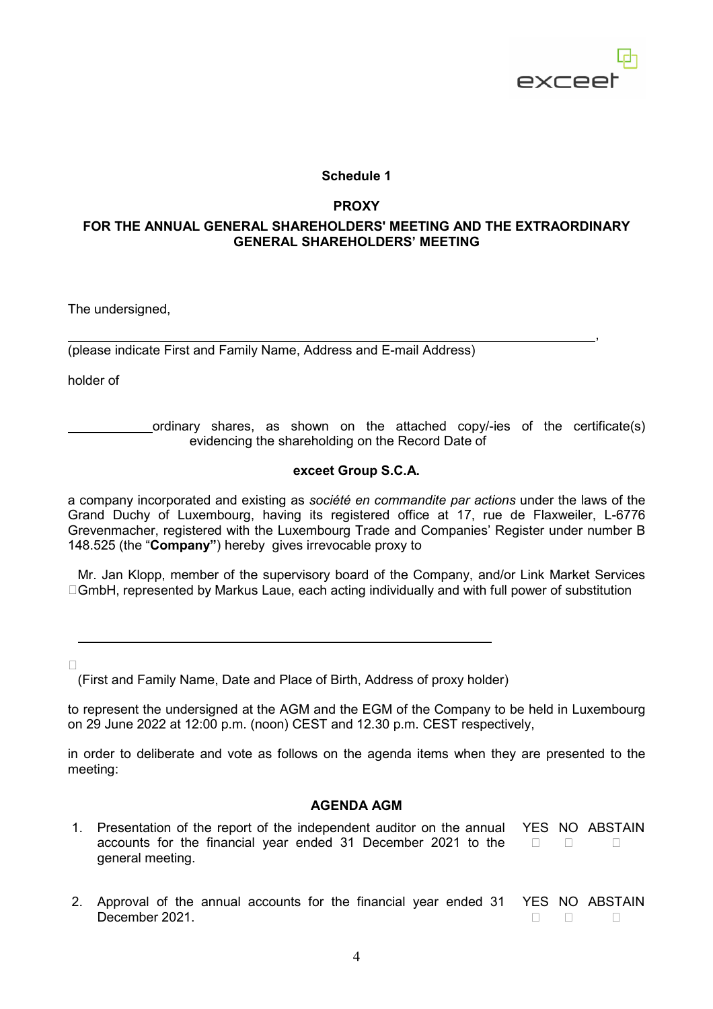

# **Schedule 1**

#### **PROXY**

# **FOR THE ANNUAL GENERAL SHAREHOLDERS' MEETING AND THE EXTRAORDINARY GENERAL SHAREHOLDERS' MEETING**

The undersigned,

 , (please indicate First and Family Name, Address and E-mail Address)

holder of

 ordinary shares, as shown on the attached copy/-ies of the certificate(s) evidencing the shareholding on the Record Date of

#### **exceet Group S.C.A.**

a company incorporated and existing as *société en commandite par actions* under the laws of the Grand Duchy of Luxembourg, having its registered office at 17, rue de Flaxweiler, L-6776 Grevenmacher, registered with the Luxembourg Trade and Companies' Register under number B 148.525 (the "**Company"**) hereby gives irrevocable proxy to

□GmbH, represented by Markus Laue, each acting individually and with full power of substitution Mr. Jan Klopp, member of the supervisory board of the Company, and/or Link Market Services

 $\Box$ 

 $\overline{a}$ 

(First and Family Name, Date and Place of Birth, Address of proxy holder)

to represent the undersigned at the AGM and the EGM of the Company to be held in Luxembourg on 29 June 2022 at 12:00 p.m. (noon) CEST and 12.30 p.m. CEST respectively,

in order to deliberate and vote as follows on the agenda items when they are presented to the meeting:

# **AGENDA AGM**

- 1. Presentation of the report of the independent auditor on the annual accounts for the financial year ended 31 December 2021 to the □ □ general meeting. YES NO ABSTAIN  $\Box$
- 2. Approval of the annual accounts for the financial year ended 31 December 2021. YES NO ABSTAIN  $\Box$  $\Box$  $\Box$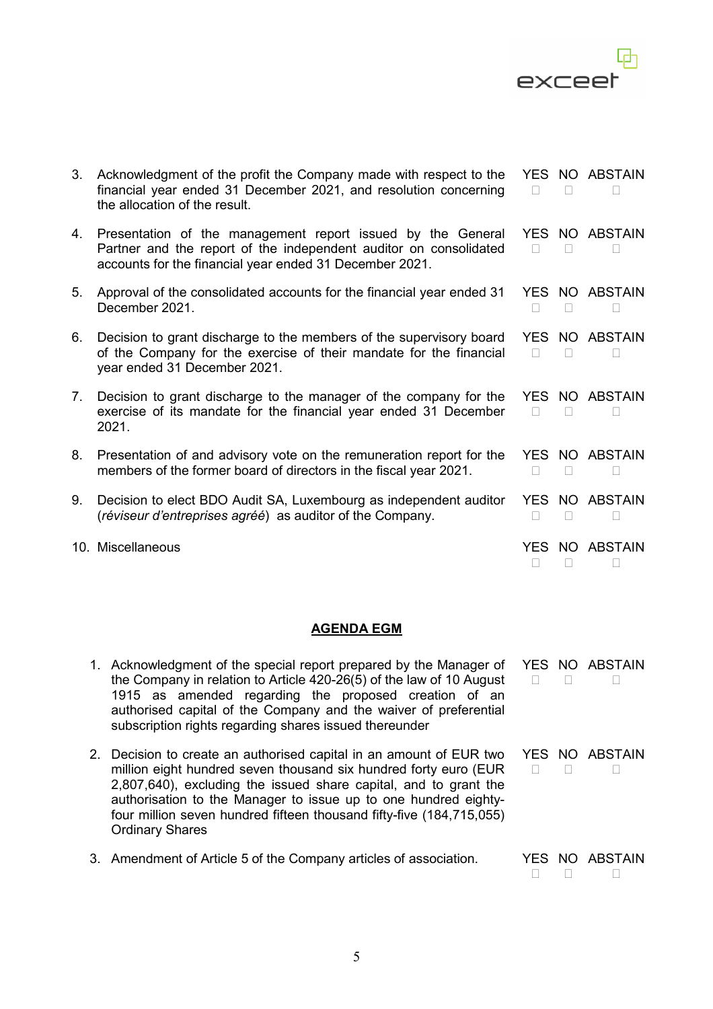

| 3. | Acknowledgment of the profit the Company made with respect to the<br>financial year ended 31 December 2021, and resolution concerning<br>the allocation of the result.                      |                |                           | YES NO ABSTAIN      |
|----|---------------------------------------------------------------------------------------------------------------------------------------------------------------------------------------------|----------------|---------------------------|---------------------|
| 4. | Presentation of the management report issued by the General<br>Partner and the report of the independent auditor on consolidated<br>accounts for the financial year ended 31 December 2021. |                |                           | YES NO ABSTAIN<br>П |
| 5. | Approval of the consolidated accounts for the financial year ended 31<br>December 2021.                                                                                                     |                |                           | YES NO ABSTAIN      |
| 6. | Decision to grant discharge to the members of the supervisory board<br>of the Company for the exercise of their mandate for the financial<br>year ended 31 December 2021.                   | П              |                           | YES NO ABSTAIN<br>П |
| 7. | Decision to grant discharge to the manager of the company for the<br>exercise of its mandate for the financial year ended 31 December<br>2021.                                              | П              |                           | YES NO ABSTAIN      |
| 8. | Presentation of and advisory vote on the remuneration report for the<br>members of the former board of directors in the fiscal year 2021.                                                   | $\mathbb{R}^n$ | $\Box$                    | YES NO ABSTAIN<br>п |
| 9. | Decision to elect BDO Audit SA, Luxembourg as independent auditor<br>(réviseur d'entreprises agréé) as auditor of the Company.                                                              | П              | П                         | YES NO ABSTAIN<br>П |
|    | 10. Miscellaneous                                                                                                                                                                           | YES            | NO <sub>1</sub><br>$\Box$ | <b>ABSTAIN</b>      |

# **AGENDA EGM**

| 1. Acknowledgment of the special report prepared by the Manager of<br>the Company in relation to Article 420-26(5) of the law of 10 August<br>1915 as amended regarding the proposed creation of an<br>authorised capital of the Company and the waiver of preferential<br>subscription rights regarding shares issued thereunder                                                |      | YES NO ABSTAIN |
|----------------------------------------------------------------------------------------------------------------------------------------------------------------------------------------------------------------------------------------------------------------------------------------------------------------------------------------------------------------------------------|------|----------------|
| 2. Decision to create an authorised capital in an amount of EUR two<br>million eight hundred seven thousand six hundred forty euro (EUR<br>2,807,640), excluding the issued share capital, and to grant the<br>authorisation to the Manager to issue up to one hundred eighty-<br>four million seven hundred fifteen thousand fifty-five (184,715,055)<br><b>Ordinary Shares</b> |      | YES NO ABSTAIN |
| 3. Amendment of Article 5 of the Company articles of association.                                                                                                                                                                                                                                                                                                                | YFS. | NO ABSTAIN     |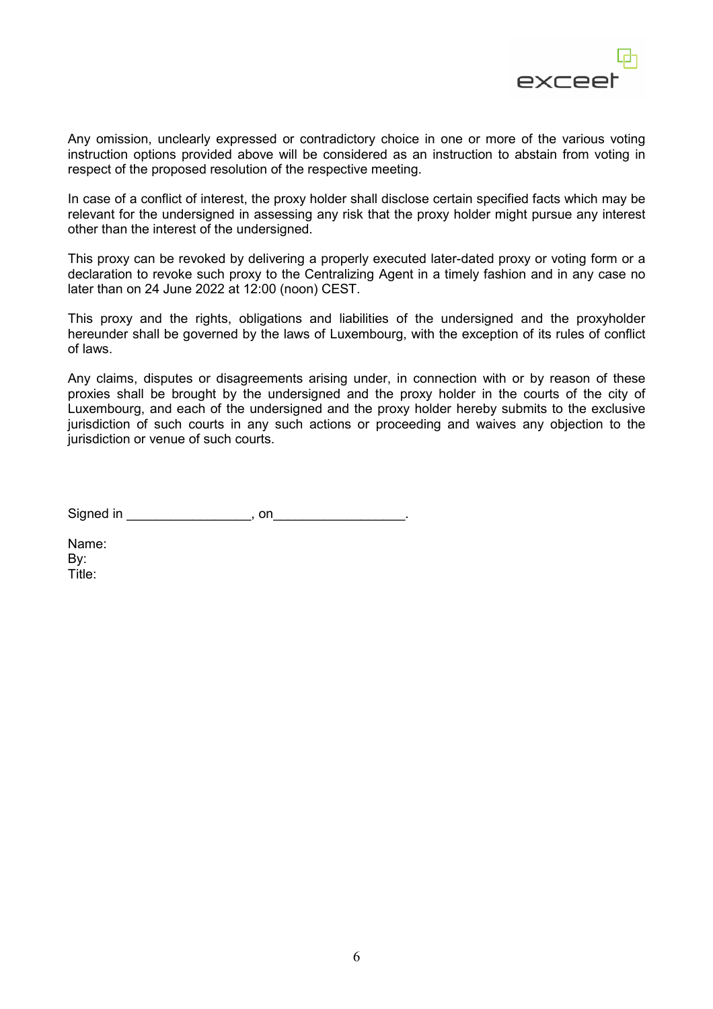

Any omission, unclearly expressed or contradictory choice in one or more of the various voting instruction options provided above will be considered as an instruction to abstain from voting in respect of the proposed resolution of the respective meeting.

In case of a conflict of interest, the proxy holder shall disclose certain specified facts which may be relevant for the undersigned in assessing any risk that the proxy holder might pursue any interest other than the interest of the undersigned.

This proxy can be revoked by delivering a properly executed later-dated proxy or voting form or a declaration to revoke such proxy to the Centralizing Agent in a timely fashion and in any case no later than on 24 June 2022 at 12:00 (noon) CEST.

This proxy and the rights, obligations and liabilities of the undersigned and the proxyholder hereunder shall be governed by the laws of Luxembourg, with the exception of its rules of conflict of laws.

Any claims, disputes or disagreements arising under, in connection with or by reason of these proxies shall be brought by the undersigned and the proxy holder in the courts of the city of Luxembourg, and each of the undersigned and the proxy holder hereby submits to the exclusive jurisdiction of such courts in any such actions or proceeding and waives any objection to the jurisdiction or venue of such courts.

Signed in \_\_\_\_\_\_\_\_\_\_\_\_\_\_\_\_\_, on\_\_\_\_\_\_\_\_\_\_\_\_\_\_\_\_\_\_.

Name: By: Title: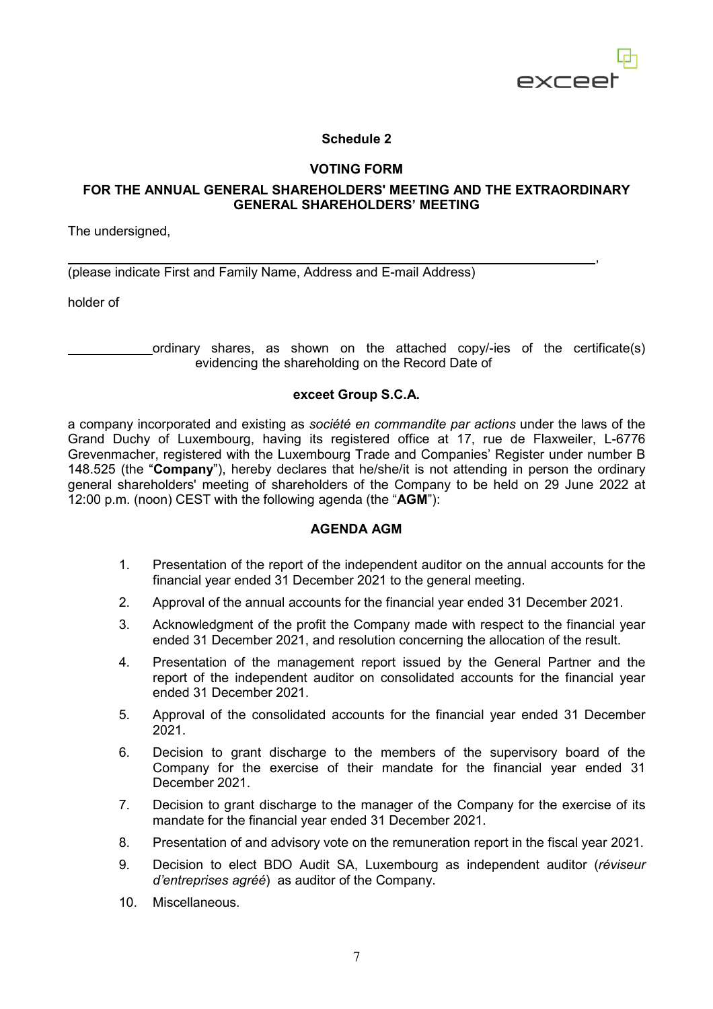

# **Schedule 2**

# **VOTING FORM**

# **FOR THE ANNUAL GENERAL SHAREHOLDERS' MEETING AND THE EXTRAORDINARY GENERAL SHAREHOLDERS' MEETING**

The undersigned,

, where the contract of the contract of the contract of the contract of the contract of the contract of the contract of the contract of the contract of the contract of the contract of the contract of the contract of the c (please indicate First and Family Name, Address and E-mail Address)

holder of

 ordinary shares, as shown on the attached copy/-ies of the certificate(s) evidencing the shareholding on the Record Date of

#### **exceet Group S.C.A.**

a company incorporated and existing as *société en commandite par actions* under the laws of the Grand Duchy of Luxembourg, having its registered office at 17, rue de Flaxweiler, L-6776 Grevenmacher, registered with the Luxembourg Trade and Companies' Register under number B 148.525 (the "**Company**"), hereby declares that he/she/it is not attending in person the ordinary general shareholders' meeting of shareholders of the Company to be held on 29 June 2022 at 12:00 p.m. (noon) CEST with the following agenda (the "**AGM**"):

#### **AGENDA AGM**

- 1. Presentation of the report of the independent auditor on the annual accounts for the financial year ended 31 December 2021 to the general meeting.
- 2. Approval of the annual accounts for the financial year ended 31 December 2021.
- 3. Acknowledgment of the profit the Company made with respect to the financial year ended 31 December 2021, and resolution concerning the allocation of the result.
- 4. Presentation of the management report issued by the General Partner and the report of the independent auditor on consolidated accounts for the financial year ended 31 December 2021.
- 5. Approval of the consolidated accounts for the financial year ended 31 December 2021.
- 6. Decision to grant discharge to the members of the supervisory board of the Company for the exercise of their mandate for the financial year ended 31 December 2021.
- 7. Decision to grant discharge to the manager of the Company for the exercise of its mandate for the financial year ended 31 December 2021.
- 8. Presentation of and advisory vote on the remuneration report in the fiscal year 2021.
- 9. Decision to elect BDO Audit SA, Luxembourg as independent auditor (*réviseur d'entreprises agréé*) as auditor of the Company.
- 10. Miscellaneous.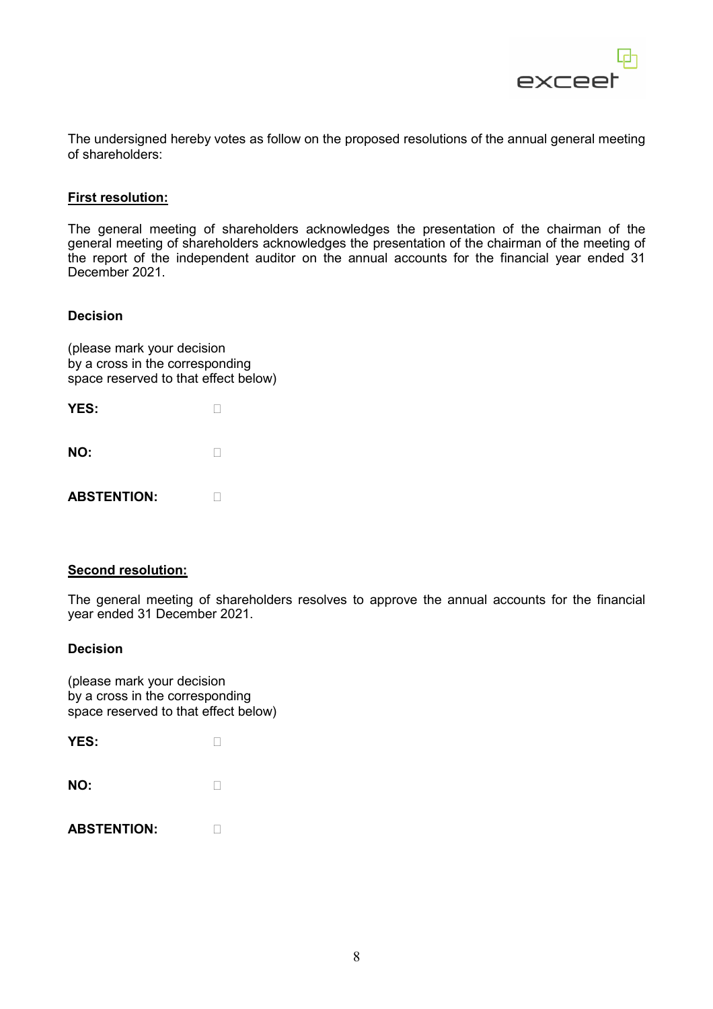

The undersigned hereby votes as follow on the proposed resolutions of the annual general meeting of shareholders:

#### **First resolution:**

The general meeting of shareholders acknowledges the presentation of the chairman of the general meeting of shareholders acknowledges the presentation of the chairman of the meeting of the report of the independent auditor on the annual accounts for the financial year ended 31 December 2021.

#### **Decision**

(please mark your decision by a cross in the corresponding space reserved to that effect below)

| YES: |   |
|------|---|
| NO:  | П |

| <b>ABSTENTION:</b> |  |
|--------------------|--|
|--------------------|--|

# **Second resolution:**

The general meeting of shareholders resolves to approve the annual accounts for the financial year ended 31 December 2021.

#### **Decision**

| YES: |  |
|------|--|
| NO:  |  |
| .    |  |

| <b>ABSTENTION:</b> |
|--------------------|
|--------------------|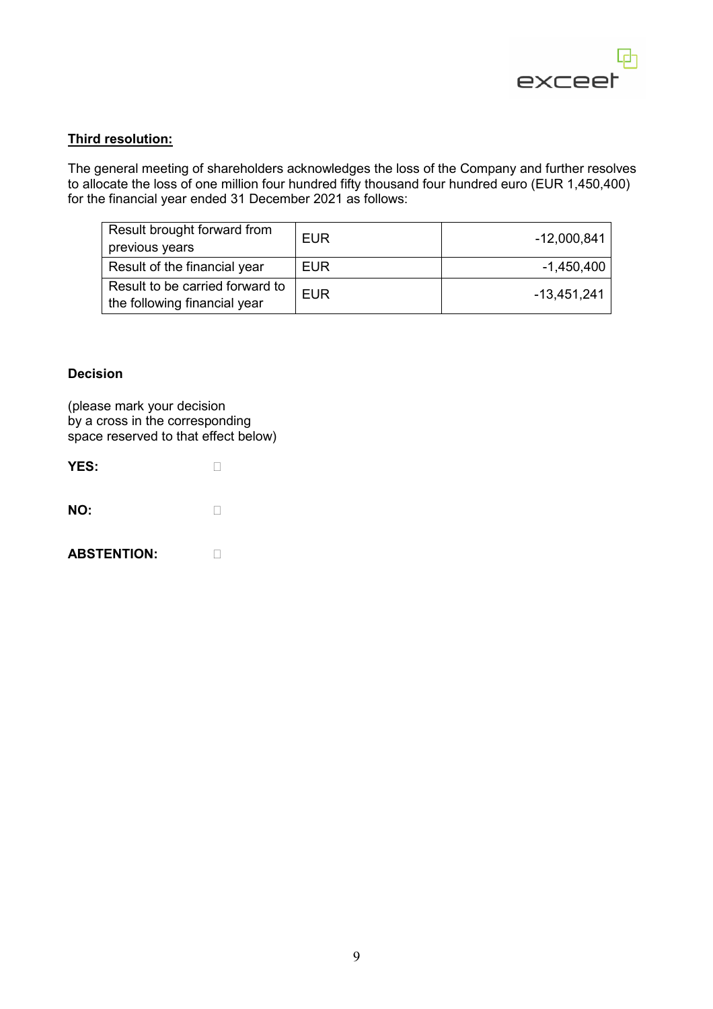

# **Third resolution:**

The general meeting of shareholders acknowledges the loss of the Company and further resolves to allocate the loss of one million four hundred fifty thousand four hundred euro (EUR 1,450,400) for the financial year ended 31 December 2021 as follows:

| Result brought forward from     | EUR        | $-12,000,841$ |  |
|---------------------------------|------------|---------------|--|
| previous years                  |            |               |  |
| Result of the financial year    | EUR        | $-1,450,400$  |  |
| Result to be carried forward to | <b>EUR</b> | $-13,451,241$ |  |
| the following financial year    |            |               |  |

#### **Decision**

| YES:               |  |
|--------------------|--|
| NO:                |  |
| <b>ABSTENTION:</b> |  |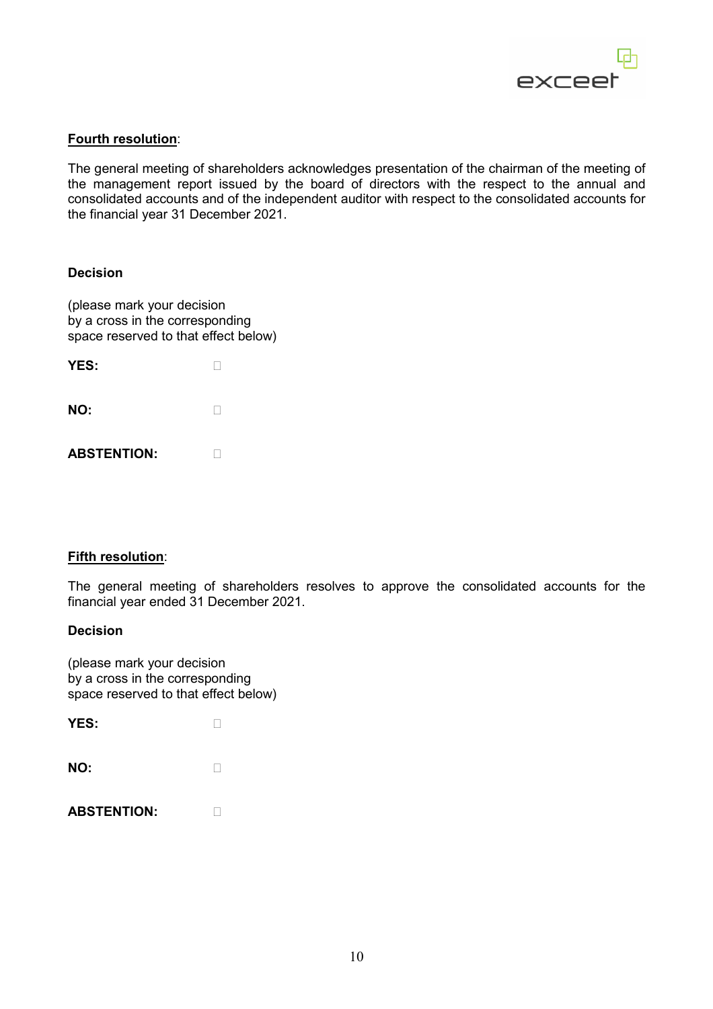

# **Fourth resolution**:

The general meeting of shareholders acknowledges presentation of the chairman of the meeting of the management report issued by the board of directors with the respect to the annual and consolidated accounts and of the independent auditor with respect to the consolidated accounts for the financial year 31 December 2021.

#### **Decision**

(please mark your decision by a cross in the corresponding space reserved to that effect below)

| YES: |   |
|------|---|
| NO:  | П |

**ABSTENTION:**

#### **Fifth resolution**:

The general meeting of shareholders resolves to approve the consolidated accounts for the financial year ended 31 December 2021.

#### **Decision**

| YES: |   |
|------|---|
| NO:  | п |

| <b>ABSTENTION:</b> |  |
|--------------------|--|
|--------------------|--|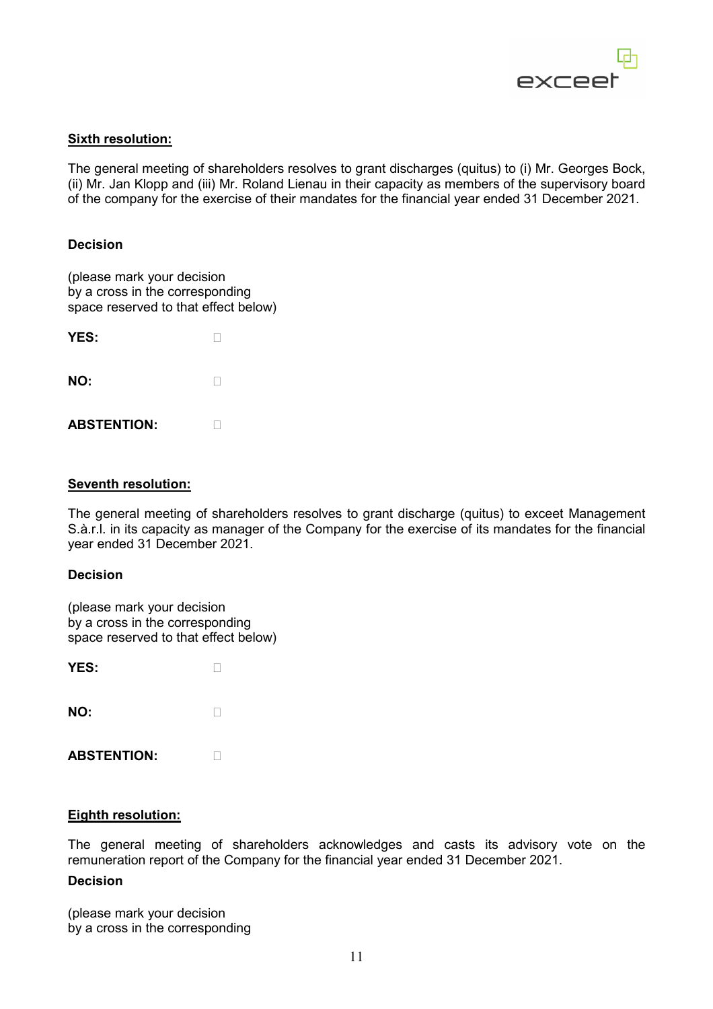

# **Sixth resolution:**

The general meeting of shareholders resolves to grant discharges (quitus) to (i) Mr. Georges Bock, (ii) Mr. Jan Klopp and (iii) Mr. Roland Lienau in their capacity as members of the supervisory board of the company for the exercise of their mandates for the financial year ended 31 December 2021.

# **Decision**

(please mark your decision by a cross in the corresponding space reserved to that effect below)

| <b>YES:</b>        |  |
|--------------------|--|
| NO:                |  |
| <b>ARSTENTION:</b> |  |

# **Seventh resolution:**

The general meeting of shareholders resolves to grant discharge (quitus) to exceet Management S.à.r.l. in its capacity as manager of the Company for the exercise of its mandates for the financial year ended 31 December 2021.

#### **Decision**

(please mark your decision by a cross in the corresponding space reserved to that effect below)

| YES: |  |
|------|--|
| NO:  |  |

**ABSTENTION:**

# **Eighth resolution:**

The general meeting of shareholders acknowledges and casts its advisory vote on the remuneration report of the Company for the financial year ended 31 December 2021.

#### **Decision**

(please mark your decision by a cross in the corresponding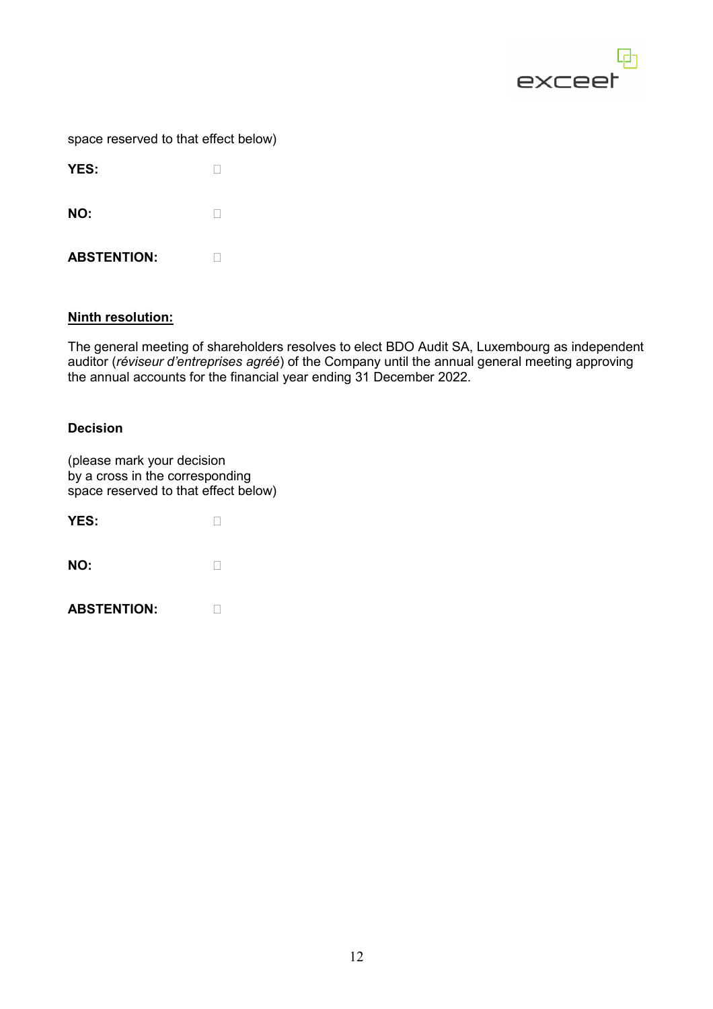

| space reserved to that effect below) |  |  |  |
|--------------------------------------|--|--|--|
|--------------------------------------|--|--|--|

| <b>YES:</b>        |  |
|--------------------|--|
| NO:                |  |
| <b>ABSTENTION:</b> |  |

# **Ninth resolution:**

The general meeting of shareholders resolves to elect BDO Audit SA, Luxembourg as independent auditor (*réviseur d'entreprises agréé*) of the Company until the annual general meeting approving the annual accounts for the financial year ending 31 December 2022.

# **Decision**

| YES:               |  |
|--------------------|--|
| NO:                |  |
| <b>ABSTENTION:</b> |  |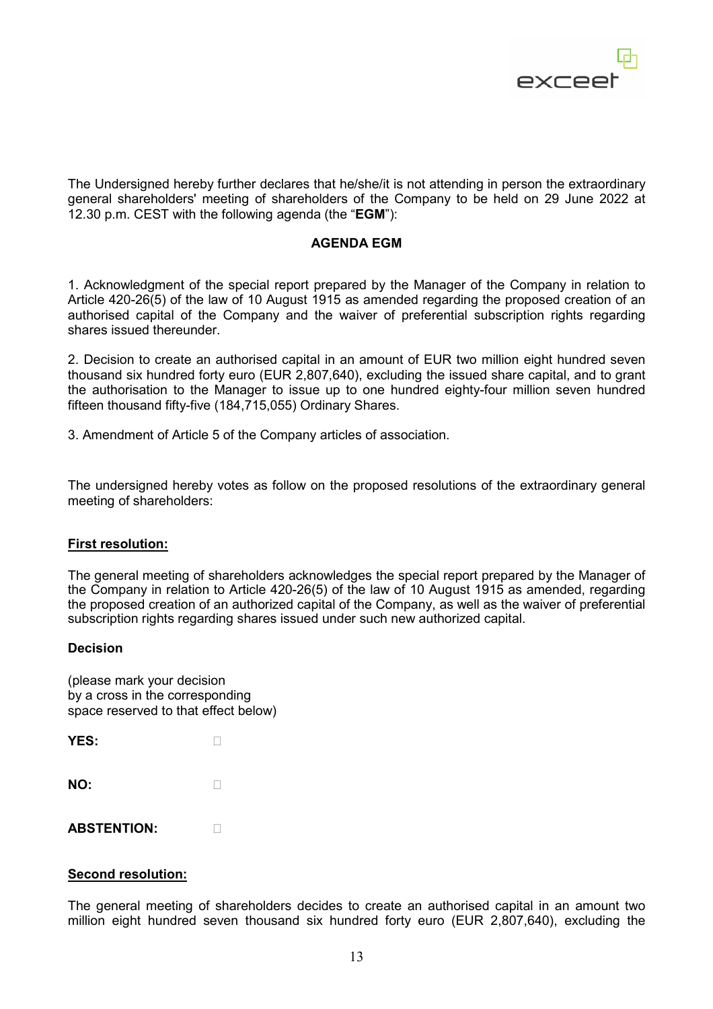

The Undersigned hereby further declares that he/she/it is not attending in person the extraordinary general shareholders' meeting of shareholders of the Company to be held on 29 June 2022 at 12.30 p.m. CEST with the following agenda (the "**EGM**"):

# **AGENDA EGM**

1. Acknowledgment of the special report prepared by the Manager of the Company in relation to Article 420-26(5) of the law of 10 August 1915 as amended regarding the proposed creation of an authorised capital of the Company and the waiver of preferential subscription rights regarding shares issued thereunder.

2. Decision to create an authorised capital in an amount of EUR two million eight hundred seven thousand six hundred forty euro (EUR 2,807,640), excluding the issued share capital, and to grant the authorisation to the Manager to issue up to one hundred eighty-four million seven hundred fifteen thousand fifty-five (184,715,055) Ordinary Shares.

3. Amendment of Article 5 of the Company articles of association.

The undersigned hereby votes as follow on the proposed resolutions of the extraordinary general meeting of shareholders:

# **First resolution:**

The general meeting of shareholders acknowledges the special report prepared by the Manager of the Company in relation to Article 420-26(5) of the law of 10 August 1915 as amended, regarding the proposed creation of an authorized capital of the Company, as well as the waiver of preferential subscription rights regarding shares issued under such new authorized capital.

#### **Decision**

(please mark your decision by a cross in the corresponding space reserved to that effect below)

| YES: |
|------|
|------|

| NO: |  |  |
|-----|--|--|
|     |  |  |

**ABSTENTION:**

#### **Second resolution:**

The general meeting of shareholders decides to create an authorised capital in an amount two million eight hundred seven thousand six hundred forty euro (EUR 2,807,640), excluding the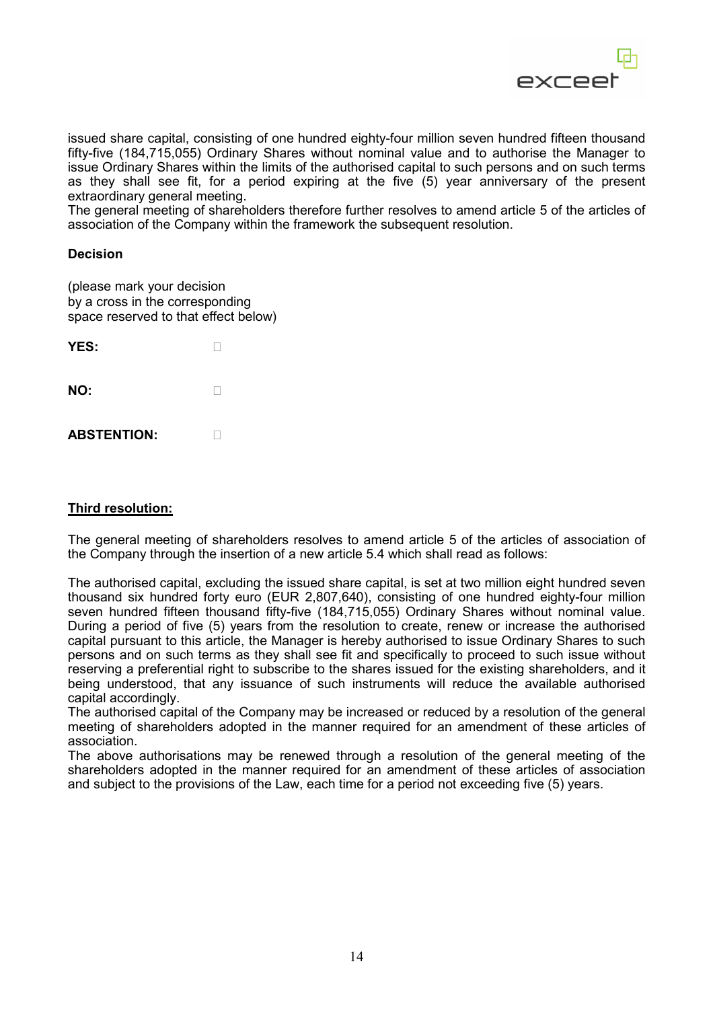

issued share capital, consisting of one hundred eighty-four million seven hundred fifteen thousand fifty-five (184,715,055) Ordinary Shares without nominal value and to authorise the Manager to issue Ordinary Shares within the limits of the authorised capital to such persons and on such terms as they shall see fit, for a period expiring at the five (5) year anniversary of the present extraordinary general meeting.

The general meeting of shareholders therefore further resolves to amend article 5 of the articles of association of the Company within the framework the subsequent resolution.

#### **Decision**

(please mark your decision by a cross in the corresponding space reserved to that effect below)

| <b>YES:</b>        |  |
|--------------------|--|
| NO:                |  |
| <b>ABSTENTION:</b> |  |

# **Third resolution:**

The general meeting of shareholders resolves to amend article 5 of the articles of association of the Company through the insertion of a new article 5.4 which shall read as follows:

The authorised capital, excluding the issued share capital, is set at two million eight hundred seven thousand six hundred forty euro (EUR 2,807,640), consisting of one hundred eighty-four million seven hundred fifteen thousand fifty-five (184,715,055) Ordinary Shares without nominal value. During a period of five (5) years from the resolution to create, renew or increase the authorised capital pursuant to this article, the Manager is hereby authorised to issue Ordinary Shares to such persons and on such terms as they shall see fit and specifically to proceed to such issue without reserving a preferential right to subscribe to the shares issued for the existing shareholders, and it being understood, that any issuance of such instruments will reduce the available authorised capital accordingly.

The authorised capital of the Company may be increased or reduced by a resolution of the general meeting of shareholders adopted in the manner required for an amendment of these articles of association.

The above authorisations may be renewed through a resolution of the general meeting of the shareholders adopted in the manner required for an amendment of these articles of association and subject to the provisions of the Law, each time for a period not exceeding five (5) years.